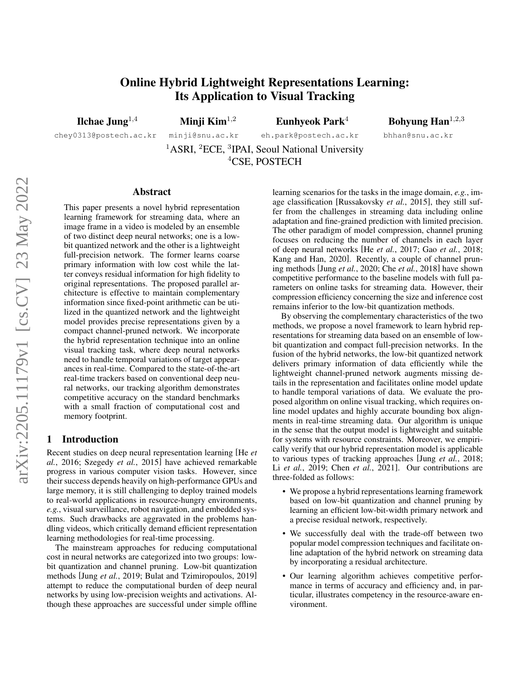# Online Hybrid Lightweight Representations Learning: Its Application to Visual Tracking

Ilchae Jung<sup>1,4</sup> Minji Kim<sup>1,2</sup> Eunhyeok Park<sup>4</sup> Bohyung Han<sup>1,2,3</sup>

chey0313@postech.ac.kr minji@snu.ac.kr eh.park@postech.ac.kr bhhan@snu.ac.kr

<sup>1</sup>ASRI, <sup>2</sup>ECE, <sup>3</sup>IPAI, Seoul National University <sup>4</sup>CSE, POSTECH

### Abstract

This paper presents a novel hybrid representation learning framework for streaming data, where an image frame in a video is modeled by an ensemble of two distinct deep neural networks; one is a lowbit quantized network and the other is a lightweight full-precision network. The former learns coarse primary information with low cost while the latter conveys residual information for high fidelity to original representations. The proposed parallel architecture is effective to maintain complementary information since fixed-point arithmetic can be utilized in the quantized network and the lightweight model provides precise representations given by a compact channel-pruned network. We incorporate the hybrid representation technique into an online visual tracking task, where deep neural networks need to handle temporal variations of target appearances in real-time. Compared to the state-of-the-art real-time trackers based on conventional deep neural networks, our tracking algorithm demonstrates competitive accuracy on the standard benchmarks with a small fraction of computational cost and memory footprint.

#### 1 Introduction

Recent studies on deep neural representation learning [\[He](#page-6-0) *et al.*[, 2016;](#page-6-0) [Szegedy](#page-6-1) *et al.*, 2015] have achieved remarkable progress in various computer vision tasks. However, since their success depends heavily on high-performance GPUs and large memory, it is still challenging to deploy trained models to real-world applications in resource-hungry environments, *e.g.*, visual surveillance, robot navigation, and embedded systems. Such drawbacks are aggravated in the problems handling videos, which critically demand efficient representation learning methodologies for real-time processing.

The mainstream approaches for reducing computational cost in neural networks are categorized into two groups: lowbit quantization and channel pruning. Low-bit quantization methods [Jung *et al.*[, 2019;](#page-6-2) [Bulat and Tzimiropoulos, 2019\]](#page-6-3) attempt to reduce the computational burden of deep neural networks by using low-precision weights and activations. Although these approaches are successful under simple offline learning scenarios for the tasks in the image domain, *e.g.*, image classification [\[Russakovsky](#page-6-4) *et al.*, 2015], they still suffer from the challenges in streaming data including online adaptation and fine-grained prediction with limited precision. The other paradigm of model compression, channel pruning focuses on reducing the number of channels in each layer of deep neural networks [He *et al.*[, 2017;](#page-6-5) Gao *et al.*[, 2018;](#page-6-6) [Kang and Han, 2020\]](#page-6-7). Recently, a couple of channel pruning methods [Jung *et al.*[, 2020;](#page-6-8) Che *et al.*[, 2018\]](#page-6-9) have shown competitive performance to the baseline models with full parameters on online tasks for streaming data. However, their compression efficiency concerning the size and inference cost remains inferior to the low-bit quantization methods.

By observing the complementary characteristics of the two methods, we propose a novel framework to learn hybrid representations for streaming data based on an ensemble of lowbit quantization and compact full-precision networks. In the fusion of the hybrid networks, the low-bit quantized network delivers primary information of data efficiently while the lightweight channel-pruned network augments missing details in the representation and facilitates online model update to handle temporal variations of data. We evaluate the proposed algorithm on online visual tracking, which requires online model updates and highly accurate bounding box alignments in real-time streaming data. Our algorithm is unique in the sense that the output model is lightweight and suitable for systems with resource constraints. Moreover, we empirically verify that our hybrid representation model is applicable to various types of tracking approaches [Jung *et al.*[, 2018;](#page-6-10) Li *et al.*[, 2019;](#page-6-11) Chen *et al.*[, 2021\]](#page-6-12). Our contributions are three-folded as follows:

- We propose a hybrid representations learning framework based on low-bit quantization and channel pruning by learning an efficient low-bit-width primary network and a precise residual network, respectively.
- We successfully deal with the trade-off between two popular model compression techniques and facilitate online adaptation of the hybrid network on streaming data by incorporating a residual architecture.
- Our learning algorithm achieves competitive performance in terms of accuracy and efficiency and, in particular, illustrates competency in the resource-aware environment.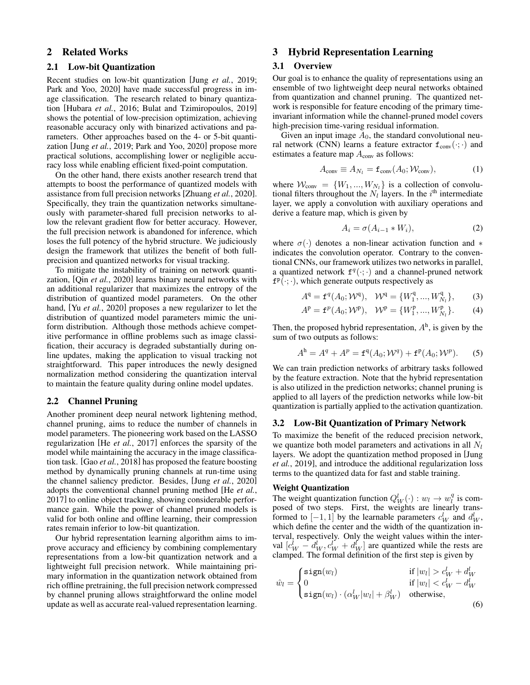# 2 Related Works

# 2.1 Low-bit Quantization

Recent studies on low-bit quantization [Jung *et al.*[, 2019;](#page-6-2) [Park and Yoo, 2020\]](#page-6-13) have made successful progress in image classification. The research related to binary quantization [\[Hubara](#page-6-14) *et al.*, 2016; [Bulat and Tzimiropoulos, 2019\]](#page-6-3) shows the potential of low-precision optimization, achieving reasonable accuracy only with binarized activations and parameters. Other approaches based on the 4- or 5-bit quantization [Jung *et al.*[, 2019;](#page-6-2) [Park and Yoo, 2020\]](#page-6-13) propose more practical solutions, accomplishing lower or negligible accuracy loss while enabling efficient fixed-point computation.

On the other hand, there exists another research trend that attempts to boost the performance of quantized models with assistance from full precision networks [\[Zhuang](#page-6-15) *et al.*, 2020]. Specifically, they train the quantization networks simultaneously with parameter-shared full precision networks to allow the relevant gradient flow for better accuracy. However, the full precision network is abandoned for inference, which loses the full potency of the hybrid structure. We judiciously design the framework that utilizes the benefit of both fullprecision and quantized networks for visual tracking.

To mitigate the instability of training on network quantization, [Qin *et al.*[, 2020\]](#page-6-16) learns binary neural networks with an additional regularizer that maximizes the entropy of the distribution of quantized model parameters. On the other hand, [Yu *et al.*[, 2020\]](#page-6-17) proposes a new regularizer to let the distribution of quantized model parameters mimic the uniform distribution. Although those methods achieve competitive performance in offline problems such as image classification, their accuracy is degraded substantially during online updates, making the application to visual tracking not straightforward. This paper introduces the newly designed normalization method considering the quantization interval to maintain the feature quality during online model updates.

### 2.2 Channel Pruning

Another prominent deep neural network lightening method, channel pruning, aims to reduce the number of channels in model parameters. The pioneering work based on the LASSO regularization [He *et al.*[, 2017\]](#page-6-5) enforces the sparsity of the model while maintaining the accuracy in the image classification task. [Gao *et al.*[, 2018\]](#page-6-6) has proposed the feature boosting method by dynamically pruning channels at run-time using the channel saliency predictor. Besides, [Jung *et al.*[, 2020\]](#page-6-8) adopts the conventional channel pruning method [He *[et al.](#page-6-5)*, [2017\]](#page-6-5) to online object tracking, showing considerable performance gain. While the power of channel pruned models is valid for both online and offline learning, their compression rates remain inferior to low-bit quantization.

Our hybrid representation learning algorithm aims to improve accuracy and efficiency by combining complementary representations from a low-bit quantization network and a lightweight full precision network. While maintaining primary information in the quantization network obtained from rich offline pretraining, the full precision network compressed by channel pruning allows straightforward the online model update as well as accurate real-valued representation learning.

# 3 Hybrid Representation Learning

#### 3.1 Overview

Our goal is to enhance the quality of representations using an ensemble of two lightweight deep neural networks obtained from quantization and channel pruning. The quantized network is responsible for feature encoding of the primary timeinvariant information while the channel-pruned model covers high-precision time-varing residual information.

Given an input image  $A_0$ , the standard convolutional neural network (CNN) learns a feature extractor  $f_{\text{conv}}(\cdot; \cdot)$  and estimates a feature map  $A_{\text{conv}}$  as follows:

$$
A_{\text{conv}} \equiv A_{N_l} = \mathbf{f}_{\text{conv}}(A_0; \mathcal{W}_{\text{conv}}), \tag{1}
$$

where  $W_{\text{conv}} = \{W_1, ..., W_{N_l}\}\$ is a collection of convolutional filters throughout the  $N_l$  layers. In the  $i<sup>th</sup>$  intermediate layer, we apply a convolution with auxiliary operations and derive a feature map, which is given by

$$
A_i = \sigma(A_{i-1} * W_i), \tag{2}
$$

where  $\sigma(\cdot)$  denotes a non-linear activation function and  $*$ indicates the convolution operator. Contrary to the conventional CNNs, our framework utilizes two networks in parallel, a quantized network  $f^q(\cdot; \cdot)$  and a channel-pruned network  $f^p(\cdot; \cdot)$ , which generate outputs respectively as

$$
A^{q} = \mathbf{f}^{q}(A_{0}; \mathcal{W}^{q}), \quad \mathcal{W}^{q} = \{W_{1}^{q}, ..., W_{N_{l}}^{q}\}, \quad (3)
$$

$$
A^{p} = f^{p}(A_{0}; \mathcal{W}^{p}), \quad \mathcal{W}^{p} = \{W_{1}^{p}, ..., W_{N_{l}}^{p}\}.
$$
 (4)

Then, the proposed hybrid representation,  $A<sup>h</sup>$ , is given by the sum of two outputs as follows:

$$
Ah = Aq + Ap = fq(A0; \mathcal{W}q) + fp(A0; \mathcal{W}p).
$$
 (5)

We can train prediction networks of arbitrary tasks followed by the feature extraction. Note that the hybrid representation is also utilized in the prediction networks; channel pruning is applied to all layers of the prediction networks while low-bit quantization is partially applied to the activation quantization.

### 3.2 Low-Bit Quantization of Primary Network

To maximize the benefit of the reduced precision network, we quantize both model parameters and activations in all  $N_l$ layers. We adopt the quantization method proposed in [\[Jung](#page-6-2) *et al.*[, 2019\]](#page-6-2), and introduce the additional regularization loss terms to the quantized data for fast and stable training.

#### Weight Quantization

The weight quantization function  $Q_W^l(\cdot) : w_l \to w_l^q$  is composed of two steps. First, the weights are linearly transformed to  $[-1, 1]$  by the learnable parameters  $c_W^l$  and  $d_W^l$ , which define the center and the width of the quantization interval, respectively. Only the weight values within the interval  $[c_W^l - d_W^l, c_W^l + d_W^l]$  are quantized while the rests are clamped. The formal definition of the first step is given by

$$
\hat{w}_l = \begin{cases}\n\texttt{sign}(w_l) & \text{if } |w_l| > c_W^l + d_W^l \\
0 & \text{if } |w_l| < c_W^l - d_W^l \\
\texttt{sign}(w_l) \cdot (\alpha_W^l |w_l| + \beta_W^l) & \text{otherwise,} \n\end{cases}
$$
\n(6)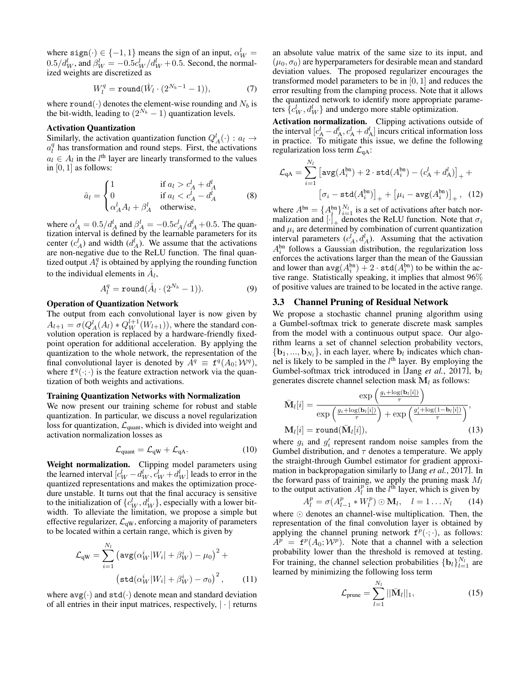where  $sign(\cdot) \in \{-1, 1\}$  means the sign of an input,  $\alpha_W^l =$  $0.5/d_W^l$ , and  $\beta_W^l = -0.5 c_W^l/d_W^l + 0.5$ . Second, the normalized weights are discretized as

$$
W_l^q = \text{round}(\hat{W}_l \cdot (2^{N_b - 1} - 1)),\tag{7}
$$

where round( $\cdot$ ) denotes the element-wise rounding and  $N_b$  is the bit-width, leading to  $(2^{N_b} - 1)$  quantization levels.

### Activation Quantization

Similarly, the activation quantization function  $Q_A^l(\cdot) : a_l \to a_l$  $a_l^q$  has transformation and round steps. First, the activations  $a_l \in A_l$  in the  $l^{\text{th}}$  layer are linearly transformed to the values in  $[0, 1]$  as follows:

$$
\hat{a}_l = \begin{cases}\n1 & \text{if } a_l > c_A^l + d_A^l \\
0 & \text{if } a_l < c_A^l - d_A^l \\
\alpha_A^l A_l + \beta_A^l & \text{otherwise,} \n\end{cases}
$$
\n(8)

where  $\alpha_A^l = 0.5/d_A^l$  and  $\beta_A^l = -0.5c_A^l/d_A^l + 0.5$ . The quantization interval is defined by the learnable parameters for its center  $(c_A^l)$  and width  $(d_A^l)$ . We assume that the activations are non-negative due to the ReLU function. The final quantized output  $A_i^q$  is obtained by applying the rounding function to the individual elements in  $\hat{A}_l$ ,

$$
A_l^q = \text{round}(\hat{A}_l \cdot (2^{N_b} - 1)). \tag{9}
$$

### Operation of Quantization Network

The output from each convolutional layer is now given by  $A_{l+1} = \sigma(Q_A^l(A_l) * Q_W^{l+1}(W_{l+1}))$ , where the standard convolution operation is replaced by a hardware-friendly fixedpoint operation for additional acceleration. By applying the quantization to the whole network, the representation of the final convolutional layer is denoted by  $\overline{A}^q \equiv f^q(A_0; \mathcal{W}^q)$ , where  $f^q(\cdot; \cdot)$  is the feature extraction network via the quantization of both weights and activations.

#### Training Quantization Networks with Normalization

We now present our training scheme for robust and stable quantization. In particular, we discuss a novel regularization loss for quantization,  $\mathcal{L}_{\text{quant}}$ , which is divided into weight and activation normalization losses as

$$
\mathcal{L}_{\text{quant}} = \mathcal{L}_{\text{qW}} + \mathcal{L}_{\text{qA}}.\tag{10}
$$

Weight normalization. Clipping model parameters using the learned interval  $[c_W^l - d_W^l, c_W^l + d_W^l]$  leads to error in the quantized representations and makes the optimization procedure unstable. It turns out that the final accuracy is sensitive to the initialization of  $\{c^l_W, d^l_W\}$ , especially with a lower bitwidth. To alleviate the limitation, we propose a simple but effective regularizer,  $\mathcal{L}_{qW}$ , enforcing a majority of parameters to be located within a certain range, which is given by

$$
\mathcal{L}_{\mathbf{q}\mathbf{w}} = \sum_{i=1}^{N_l} \left( \text{avg}(\alpha_W^i |W_i| + \beta_W^i) - \mu_0 \right)^2 +
$$

$$
\left( \text{std}(\alpha_W^i |W_i| + \beta_W^i) - \sigma_0 \right)^2, \qquad (11)
$$

where  $avg(\cdot)$  and  $std(\cdot)$  denote mean and standard deviation of all entries in their input matrices, respectively,  $|\cdot|$  returns an absolute value matrix of the same size to its input, and  $(\mu_0, \sigma_0)$  are hyperparameters for desirable mean and standard deviation values. The proposed regularizer encourages the transformed model parameters to be in  $[0, 1]$  and reduces the error resulting from the clamping process. Note that it allows the quantized network to identify more appropriate parameters  $\{c_W^l, d_W^l\}$  and undergo more stable optimization.

Activation normalization. Clipping activations outside of the interval  $[c_A^l - d_A^l, c_A^l + d_A^l]$  incurs critical information loss in practice. To mitigate this issue, we define the following regularization loss term  $\mathcal{L}_{qA}$ :

$$
\mathcal{L}_{\mathbf{q}\mathbf{A}} = \sum_{i=1}^{N_l} \left[ \text{avg}(A_i^{\text{bn}}) + 2 \cdot \text{std}(A_i^{\text{bn}}) - (c_{\mathbf{A}}^l + d_{\mathbf{A}}^l) \right]_+ + \left[ \sigma_i - \text{std}(A_i^{\text{bn}}) \right]_+ + \left[ \mu_i - \text{avg}(A_i^{\text{bn}}) \right]_+, \tag{12}
$$

where  $A^{bn} = \{A_j^{bn}\}_{i=1}^{N_l}$  is a set of activations after batch normalization and  $[\cdot]_+$  denotes the ReLU function. Note that  $\sigma_i$ and  $\mu_i$  are determined by combination of current quantization interval parameters  $(c_A^l, d_A^l)$ . Assuming that the activation  $A_i^{\text{bn}}$  follows a Gaussian distribution, the regularization loss enforces the activations larger than the mean of the Gaussian and lower than  $\text{avg}(A_i^{\text{bn}}) + 2 \cdot \text{std}(A_i^{\text{bn}})$  to be within the active range. Statistically speaking, it implies that almost 96% of positive values are trained to be located in the active range.

#### 3.3 Channel Pruning of Residual Network

We propose a stochastic channel pruning algorithm using a Gumbel-softmax trick to generate discrete mask samples from the model with a continuous output space. Our algorithm learns a set of channel selection probability vectors,  ${\bf \{b_1, ..., b_{N_l}\}$ , in each layer, where  ${\bf b_l}$  indicates which channel is likely to be sampled in the  $l^{\text{th}}$  layer. By employing the Gumbel-softmax trick introduced in [Jang  $et$  al.[, 2017\]](#page-6-18),  $$ generates discrete channel selection mask  $M_l$  as follows:

$$
\overline{\mathbf{M}}_{l}[i] = \frac{\exp\left(\frac{g_{i} + \log(\mathbf{b}_{l}[i])}{\tau}\right)}{\exp\left(\frac{g_{i} + \log(\mathbf{b}_{l}[i])}{\tau}\right) + \exp\left(\frac{g'_{i} + \log(1 - \mathbf{b}_{l}[i])}{\tau}\right)},
$$
\n
$$
\mathbf{M}_{l}[i] = \text{round}(\overline{\mathbf{M}}_{l}[i]),
$$
\n(13)

<span id="page-2-0"></span>where  $g_i$  and  $g'_i$  represent random noise samples from the Gumbel distribution, and  $\tau$  denotes a temperature. We apply the straight-through Gumbel estimator for gradient approximation in backpropagation similarly to [Jang *et al.*[, 2017\]](#page-6-18). In the forward pass of training, we apply the pruning mask  $M_l$ to the output activation  $A_l^p$  in the  $l^{\text{th}}$  layer, which is given by

$$
A_l^p = \sigma(A_{l-1}^p * W_l^p) \odot \mathbf{M}_l, \quad l = 1 \dots N_l \qquad (14)
$$

where  $\odot$  denotes an channel-wise multiplication. Then, the representation of the final convolution layer is obtained by applying the channel pruning network  $f^p(\cdot; \cdot)$ , as follows:  $\hat{A}^p = \mathbf{f}^p(A_0; \mathcal{W}^p)$ . Note that a channel with a selection probability lower than the threshold is removed at testing. For training, the channel selection probabilities  ${\{\mathbf{b}_l\}}_{l=1}^{N_l}$  are learned by minimizing the following loss term

<span id="page-2-1"></span>
$$
\mathcal{L}_{\text{prune}} = \sum_{l=1}^{N_l} ||\bar{\mathbf{M}}_l||_1, \tag{15}
$$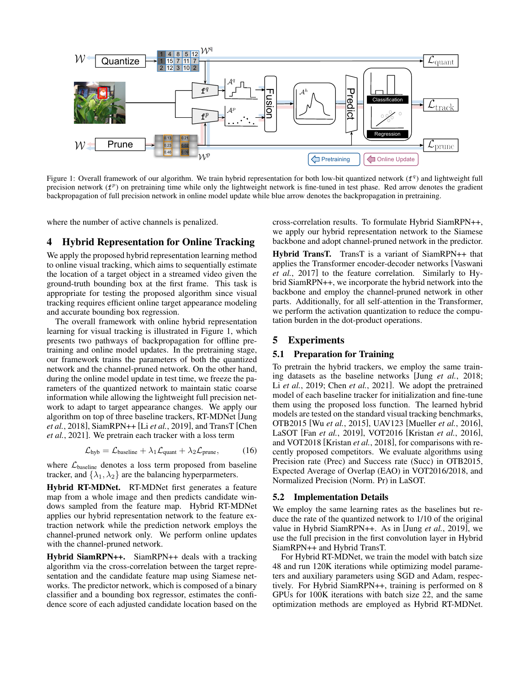<span id="page-3-0"></span>

Figure 1: Overall framework of our algorithm. We train hybrid representation for both low-bit quantized network ( $f^q$ ) and lightweight full precision network  $(f^p)$  on pretraining time while only the lightweight network is fine-tuned in test phase. Red arrow denotes the gradient backpropagation of full precision network in online model update while blue arrow denotes the backpropagation in pretraining.

where the number of active channels is penalized.

# 4 Hybrid Representation for Online Tracking

We apply the proposed hybrid representation learning method to online visual tracking, which aims to sequentially estimate the location of a target object in a streamed video given the ground-truth bounding box at the first frame. This task is appropriate for testing the proposed algorithm since visual tracking requires efficient online target appearance modeling and accurate bounding box regression.

The overall framework with online hybrid representation learning for visual tracking is illustrated in Figure [1,](#page-3-0) which presents two pathways of backpropagation for offline pretraining and online model updates. In the pretraining stage, our framework trains the parameters of both the quantized network and the channel-pruned network. On the other hand, during the online model update in test time, we freeze the parameters of the quantized network to maintain static coarse information while allowing the lightweight full precision network to adapt to target appearance changes. We apply our algorithm on top of three baseline trackers, RT-MDNet [\[Jung](#page-6-10) *et al.*[, 2018\]](#page-6-10), SiamRPN++ [Li *et al.*[, 2019\]](#page-6-11), and TransT [\[Chen](#page-6-12) *et al.*[, 2021\]](#page-6-12). We pretrain each tracker with a loss term

$$
\mathcal{L}_{\text{hyb}} = \mathcal{L}_{\text{baseline}} + \lambda_1 \mathcal{L}_{\text{quant}} + \lambda_2 \mathcal{L}_{\text{prune}}, \tag{16}
$$

where  $\mathcal{L}_{\text{baseline}}$  denotes a loss term proposed from baseline tracker, and  $\{\lambda_1, \lambda_2\}$  are the balancing hyperparmeters.

Hybrid RT-MDNet. RT-MDNet first generates a feature map from a whole image and then predicts candidate windows sampled from the feature map. Hybrid RT-MDNet applies our hybrid representation network to the feature extraction network while the prediction network employs the channel-pruned network only. We perform online updates with the channel-pruned network.

Hybrid SiamRPN++. SiamRPN++ deals with a tracking algorithm via the cross-correlation between the target representation and the candidate feature map using Siamese networks. The predictor network, which is composed of a binary classifier and a bounding box regressor, estimates the confidence score of each adjusted candidate location based on the cross-correlation results. To formulate Hybrid SiamRPN++, we apply our hybrid representation network to the Siamese backbone and adopt channel-pruned network in the predictor.

Hybrid TransT. TransT is a variant of SiamRPN++ that applies the Transformer encoder-decoder networks [\[Vaswani](#page-6-19) *et al.*[, 2017\]](#page-6-19) to the feature correlation. Similarly to Hybrid SiamRPN++, we incorporate the hybrid network into the backbone and employ the channel-pruned network in other parts. Additionally, for all self-attention in the Transformer, we perform the activation quantization to reduce the computation burden in the dot-product operations.

# 5 Experiments

#### 5.1 Preparation for Training

To pretrain the hybrid trackers, we employ the same training datasets as the baseline networks [Jung *et al.*[, 2018;](#page-6-10) Li *et al.*[, 2019;](#page-6-11) Chen *et al.*[, 2021\]](#page-6-12). We adopt the pretrained model of each baseline tracker for initialization and fine-tune them using the proposed loss function. The learned hybrid models are tested on the standard visual tracking benchmarks, OTB2015 [Wu *et al.*[, 2015\]](#page-6-20), UAV123 [\[Mueller](#page-6-21) *et al.*, 2016], LaSOT [Fan *et al.*[, 2019\]](#page-6-22), VOT2016 [\[Kristan](#page-6-23) *et al.*, 2016], and VOT2018 [\[Kristan](#page-6-24) *et al.*, 2018], for comparisons with recently proposed competitors. We evaluate algorithms using Precision rate (Prec) and Success rate (Succ) in OTB2015, Expected Average of Overlap (EAO) in VOT2016/2018, and Normalized Precision (Norm. Pr) in LaSOT.

#### 5.2 Implementation Details

We employ the same learning rates as the baselines but reduce the rate of the quantized network to 1/10 of the original value in Hybrid SiamRPN++. As in [Jung *et al.*[, 2019\]](#page-6-2), we use the full precision in the first convolution layer in Hybrid SiamRPN++ and Hybrid TransT.

For Hybrid RT-MDNet, we train the model with batch size 48 and run 120K iterations while optimizing model parameters and auxiliary parameters using SGD and Adam, respectively. For Hybrid SiamRPN++, training is performed on 8 GPUs for 100K iterations with batch size 22, and the same optimization methods are employed as Hybrid RT-MDNet.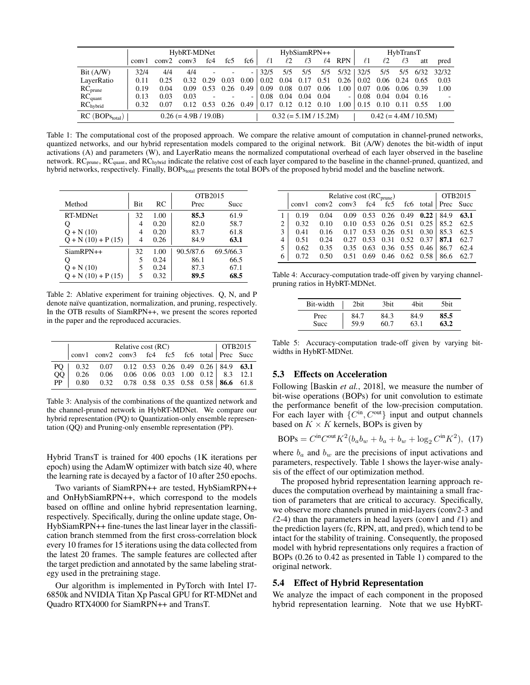<span id="page-4-0"></span>

|                                                | HybRT-MDNet |      |               |                         |      | HybSiamRPN++             |                         |                      |                  | HybTransT |             |          |                             |          |          |        |
|------------------------------------------------|-------------|------|---------------|-------------------------|------|--------------------------|-------------------------|----------------------|------------------|-----------|-------------|----------|-----------------------------|----------|----------|--------|
|                                                | convl       |      | $conv2$ conv3 | fc4                     | fc5  | fc6                      | $\ell 1$                | ľ2                   | $\ell$ 3         | $\ell$ 4  | <b>RPN</b>  | $\ell$ 1 | $\ell$ 2                    | $\ell$ 3 | att      | pred   |
| Bit (A/W)                                      | 32/4        | 4/4  | 4/4           |                         |      | $\sim$                   | 32/5                    | 5/5                  | 5/5              | 5/5       | 5/32        | 32/5     | 5/5                         |          | 5/5 6/32 | 32/32  |
| LayerRatio                                     | 0.11        | 0.25 | 0.32          | 0.29                    | 0.03 | 0.00                     | 0.02                    | $0.04$ 0.17          |                  | 0.51      | 0.26        |          | $0.02$ $0.06$ $0.24$ $0.65$ |          |          | 0.03   |
| $RC$ <sub>prune</sub>                          | 0.19        | 0.04 | 0.09          | 0.53                    | 0.26 | 0.49                     | 0.09                    | 0.08                 | 0.07             | 0.06      | 1.00        | 0.07     | 0.06                        | 0.06     | 0.39     | 1.00   |
| $RC_{quant}$                                   | 0.13        | 0.03 | 0.03          |                         |      | $\overline{\phantom{a}}$ | 0.08                    |                      | $0.04$ 0.04 0.04 |           | $\sim$      | 0.08     | 0.04                        | 0.04     | 0.16     | $\sim$ |
| $RC_{hvbrid}$                                  | 0.32        | 0.07 | 0.12          | 0.53                    | 0.26 | 0.49                     | 0.17                    | $0.12$ $0.12$ $0.10$ |                  |           | $1.00\vert$ |          | $0.15$ $0.10$ $0.11$        |          | 0.55     | 1.00   |
| $RC (BOPs_{total})$<br>$0.26 (= 4.9B / 19.0B)$ |             |      |               | $0.32 (= 5.1M / 15.2M)$ |      |                          | $0.42 (= 4.4M / 10.5M)$ |                      |                  |           |             |          |                             |          |          |        |

Table 1: The computational cost of the proposed approach. We compare the relative amount of computation in channel-pruned networks, quantized networks, and our hybrid representation models compared to the original network. Bit (A/W) denotes the bit-width of input activations (A) and parameters (W), and LayerRatio means the normalized computational overhead of each layer observed in the baseline network. RC<sub>prune</sub>, RC<sub>quant</sub>, and RC<sub>hybrid</sub> indicate the relative cost of each layer compared to the baseline in the channel-pruned, quantized, and hybrid networks, respectively. Finally, BOPstotal presents the total BOPs of the proposed hybrid model and the baseline network.

<span id="page-4-1"></span>

|                     |     |      | OTB2015   |           |
|---------------------|-----|------|-----------|-----------|
| Method              | Bit | RC   | Prec      | Succ      |
| RT-MDNet            | 32  | 1.00 | 85.3      | 61.9      |
| Q                   | 4   | 0.20 | 82.0      | 58.7      |
| $Q + N(10)$         | 4   | 0.20 | 83.7      | 61.8      |
| $Q + N(10) + P(15)$ | 4   | 0.26 | 84.9      | 63.1      |
| $SiamRPN++$         | 32  | 1.00 | 90.5/87.6 | 69.5/66.3 |
| O                   | 5   | 0.24 | 86.1      | 66.5      |
| $Q + N(10)$         | 5   | 0.24 | 87.3      | 67.1      |
| $Q + N(10) + P(15)$ | 5   | 0.32 | 89.5      | 68.5      |

Table 2: Ablative experiment for training objectives. Q, N, and P denote naïve quantization, normalization, and pruning, respectively. In the OTB results of SiamRPN++, we present the scores reported in the paper and the reproduced accuracies.

<span id="page-4-2"></span>

|                 |      | $\overline{\text{OTB2015}}$                     |                                                      |  |  |  |  |
|-----------------|------|-------------------------------------------------|------------------------------------------------------|--|--|--|--|
|                 |      | conv1 conv2 conv3 fc4 fc5 fc6 total Prec Succ   | Relative cost (RC)                                   |  |  |  |  |
|                 |      | $0.32$ 0.07 0.12 0.53 0.26 0.49 0.26 84.9 63.1  |                                                      |  |  |  |  |
| $\frac{PQ}{QQ}$ | 0.26 |                                                 | $0.06$ $0.06$ $0.06$ $0.03$ $1.00$ $0.12$ $8.3$ 12.1 |  |  |  |  |
|                 |      | PP 0.80 0.32 0.78 0.58 0.35 0.58 0.58 86.6 61.8 |                                                      |  |  |  |  |

Table 3: Analysis of the combinations of the quantized network and the channel-pruned network in HybRT-MDNet. We compare our hybrid representation (PQ) to Quantization-only ensemble representation (QQ) and Pruning-only ensemble representation (PP).

Hybrid TransT is trained for 400 epochs (1K iterations per epoch) using the AdamW optimizer with batch size 40, where the learning rate is decayed by a factor of 10 after 250 epochs.

Two variants of SiamRPN++ are tested, HybSiamRPN++ and OnHybSiamRPN++, which correspond to the models based on offline and online hybrid representation learning, respectively. Specifically, during the online update stage, On-HybSiamRPN++ fine-tunes the last linear layer in the classification branch stemmed from the first cross-correlation block every 10 frames for 15 iterations using the data collected from the latest 20 frames. The sample features are collected after the target prediction and annotated by the same labeling strategy used in the pretraining stage.

Our algorithm is implemented in PyTorch with Intel I7- 6850k and NVIDIA Titan Xp Pascal GPU for RT-MDNet and Quadro RTX4000 for SiamRPN++ and TransT.

<span id="page-4-3"></span>

|   |       |      | OTB2015             |                   |                             |                                                  |               |      |
|---|-------|------|---------------------|-------------------|-----------------------------|--------------------------------------------------|---------------|------|
|   | conv1 |      | conv2 conv3 fc4 fc5 |                   |                             | fc6 total Prec Succ                              |               |      |
|   | 0.19  | 0.04 |                     |                   | $0.09$ $0.53$ $0.26$ $0.49$ | $0.22 \times 84.9$                               |               | 63.1 |
| 2 | 0.32  | 0.10 | 0.10                | 0.53              | $0.26$ 0.51                 |                                                  | $0.25$   85.2 | 62.5 |
| 3 | 0.41  | 0.16 | 0.17                |                   | $0.53$ $0.26$ $0.51$        | 0.30                                             | 85.3          | 62.5 |
| 4 | 0.51  | 0.24 |                     |                   |                             | $0.27$ $0.53$ $0.31$ $0.52$ $0.37$   <b>87.1</b> |               | 62.7 |
| 5 | 0.62  | 0.35 |                     | $0.35 \quad 0.63$ |                             | $0.36$ $0.55$ $0.46$ 86.7                        |               | 62.4 |
| 6 | 0.72  | 0.50 |                     |                   |                             | $0.51$ 0.69 0.46 0.62 0.58                       | 86.6          | 62.7 |

<span id="page-4-4"></span>Table 4: Accuracy-computation trade-off given by varying channelpruning ratios in HybRT-MDNet.

| Bit-width | 2bit | 3bit | 4bit | 5bit. |
|-----------|------|------|------|-------|
| Prec      | 84.7 | 84.3 | 84.9 | 85.5  |
| Succ      | 59.9 | 60.7 | 63.1 | 63.2  |

Table 5: Accuracy-computation trade-off given by varying bitwidths in HybRT-MDNet.

### 5.3 Effects on Acceleration

Following [\[Baskin](#page-6-25) *et al.*, 2018], we measure the number of bit-wise operations (BOPs) for unit convolution to estimate the performance benefit of the low-precision computation. For each layer with  $\{C^{in}, C^{out}\}$  input and output channels based on  $K \times K$  kernels, BOPs is given by

BOPs = 
$$
C^{\text{in}}C^{\text{out}}K^2(b_a b_w + b_a + b_w + \log_2 C^{\text{in}}K^2)
$$
, (17)

where  $b_a$  and  $b_w$  are the precisions of input activations and parameters, respectively. Table [1](#page-4-0) shows the layer-wise analysis of the effect of our optimization method.

The proposed hybrid representation learning approach reduces the computation overhead by maintaining a small fraction of parameters that are critical to accuracy. Specifically, we observe more channels pruned in mid-layers (conv2-3 and  $\ell$ 2-4) than the parameters in head layers (conv1 and  $\ell$ 1) and the prediction layers (fc, RPN, att, and pred), which tend to be intact for the stability of training. Consequently, the proposed model with hybrid representations only requires a fraction of BOPs (0.26 to 0.42 as presented in Table [1\)](#page-4-0) compared to the original network.

### 5.4 Effect of Hybrid Representation

We analyze the impact of each component in the proposed hybrid representation learning. Note that we use HybRT-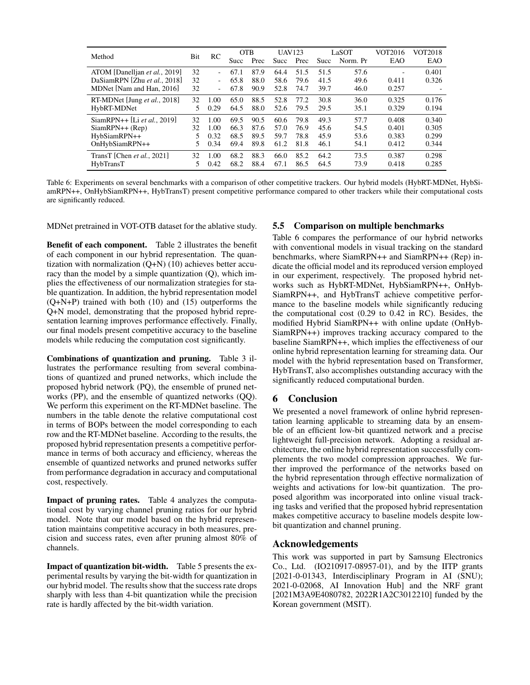<span id="page-5-0"></span>

| Method                                                                                   | Bit            | RC   | <b>OTB</b><br><b>Succ</b> | Prec                 | <b>Succ</b>          | UAV123<br>Prec       | <b>Succ</b>          | LaSOT<br>Norm. Pr    | VOT2016<br>EAO      | VOT2018<br>EAO |
|------------------------------------------------------------------------------------------|----------------|------|---------------------------|----------------------|----------------------|----------------------|----------------------|----------------------|---------------------|----------------|
| ATOM [Danelljan et al., 2019]<br>DaSiamRPN [Zhu et al., 2018]<br>MDNet Mam and Han, 2016 | 32<br>32<br>32 | ٠    | 67.1<br>65.8<br>67.8      | 87.9<br>88.0<br>90.9 | 64.4<br>58.6<br>52.8 | 51.5<br>79.6<br>74.7 | 51.5<br>41.5<br>39.7 | 57.6<br>49.6<br>46.0 | ۰<br>0.411<br>0.257 | 0.401<br>0.326 |
| RT-MDNet [Jung et al., 2018]                                                             | 32             | 1.00 | 65.0                      | 88.5                 | 52.8                 | 77.2                 | 30.8                 | 36.0                 | 0.325               | 0.176          |
| HvbRT-MDNet                                                                              | 5              | 0.29 | 64.5                      | 88.0                 | 52.6                 | 79.5                 | 29.5                 | 35.1                 | 0.329               | 0.194          |
| SiamRPN++ [Li et al., 2019]                                                              | 32             | 1.00 | 69.5                      | 90.5                 | 60.6                 | 79.8                 | 49.3                 | 57.7                 | 0.408               | 0.340          |
| $SiamRPN++(Rep)$                                                                         | 32             | 1.00 | 66.3                      | 87.6                 | 57.0                 | 76.9                 | 45.6                 | 54.5                 | 0.401               | 0.305          |
| HybSiamRPN++                                                                             | 5              | 0.32 | 68.5                      | 89.5                 | 59.7                 | 78.8                 | 45.9                 | 53.6                 | 0.383               | 0.299          |
| OnHybSiamRPN++                                                                           | 5.             | 0.34 | 69.4                      | 89.8                 | 61.2                 | 81.8                 | 46.1                 | 54.1                 | 0.412               | 0.344          |
| TransT [Chen <i>et al.</i> , 2021]                                                       | 32             | 1.00 | 68.2                      | 88.3                 | 66.0                 | 85.2                 | 64.2                 | 73.5                 | 0.387               | 0.298          |
| HybTransT                                                                                | 5              | 0.42 | 68.2                      | 88.4                 | 67.1                 | 86.5                 | 64.5                 | 73.9                 | 0.418               | 0.285          |

Table 6: Experiments on several benchmarks with a comparison of other competitive trackers. Our hybrid models (HybRT-MDNet, HybSiamRPN++, OnHybSiamRPN++, HybTransT) present competitive performance compared to other trackers while their computational costs are significantly reduced.

MDNet pretrained in VOT-OTB dataset for the ablative study.

Benefit of each component. Table [2](#page-4-1) illustrates the benefit of each component in our hybrid representation. The quantization with normalization  $(Q+N)$  [\(10\)](#page-2-0) achieves better accuracy than the model by a simple quantization (Q), which implies the effectiveness of our normalization strategies for stable quantization. In addition, the hybrid representation model  $(Q+N+P)$  trained with both [\(10\)](#page-2-0) and [\(15\)](#page-2-1) outperforms the Q+N model, demonstrating that the proposed hybrid representation learning improves performance effectively. Finally, our final models present competitive accuracy to the baseline models while reducing the computation cost significantly.

Combinations of quantization and pruning. Table [3](#page-4-2) illustrates the performance resulting from several combinations of quantized and pruned networks, which include the proposed hybrid network (PQ), the ensemble of pruned networks (PP), and the ensemble of quantized networks (QQ). We perform this experiment on the RT-MDNet baseline. The numbers in the table denote the relative computational cost in terms of BOPs between the model corresponding to each row and the RT-MDNet baseline. According to the results, the proposed hybrid representation presents a competitive performance in terms of both accuracy and efficiency, whereas the ensemble of quantized networks and pruned networks suffer from performance degradation in accuracy and computational cost, respectively.

Impact of pruning rates. Table [4](#page-4-3) analyzes the computational cost by varying channel pruning ratios for our hybrid model. Note that our model based on the hybrid representation maintains competitive accuracy in both measures, precision and success rates, even after pruning almost 80% of channels.

Impact of quantization bit-width. Table [5](#page-4-4) presents the experimental results by varying the bit-width for quantization in our hybrid model. The results show that the success rate drops sharply with less than 4-bit quantization while the precision rate is hardly affected by the bit-width variation.

# 5.5 Comparison on multiple benchmarks

Table [6](#page-5-0) compares the performance of our hybrid networks with conventional models in visual tracking on the standard benchmarks, where SiamRPN++ and SiamRPN++ (Rep) indicate the official model and its reproduced version employed in our experiment, respectively. The proposed hybrid networks such as HybRT-MDNet, HybSiamRPN++, OnHyb-SiamRPN++, and HybTransT achieve competitive performance to the baseline models while significantly reducing the computational cost (0.29 to 0.42 in RC). Besides, the modified Hybrid SiamRPN++ with online update (OnHyb-SiamRPN++) improves tracking accuracy compared to the baseline SiamRPN++, which implies the effectiveness of our online hybrid representation learning for streaming data. Our model with the hybrid representation based on Transformer, HybTransT, also accomplishes outstanding accuracy with the significantly reduced computational burden.

# 6 Conclusion

We presented a novel framework of online hybrid representation learning applicable to streaming data by an ensemble of an efficient low-bit quantized network and a precise lightweight full-precision network. Adopting a residual architecture, the online hybrid representation successfully complements the two model compression approaches. We further improved the performance of the networks based on the hybrid representation through effective normalization of weights and activations for low-bit quantization. The proposed algorithm was incorporated into online visual tracking tasks and verified that the proposed hybrid representation makes competitive accuracy to baseline models despite lowbit quantization and channel pruning.

# Acknowledgements

This work was supported in part by Samsung Electronics Co., Ltd. (IO210917-08957-01), and by the IITP grants [2021-0-01343, Interdisciplinary Program in AI (SNU); 2021-0-02068, AI Innovation Hub] and the NRF grant [2021M3A9E4080782, 2022R1A2C3012210] funded by the Korean government (MSIT).